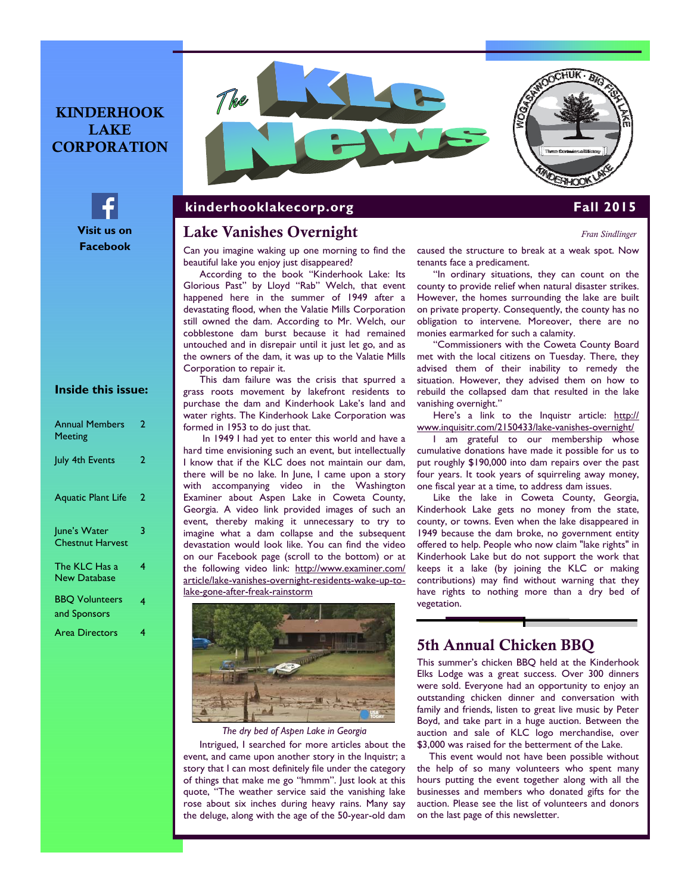## KINDERHOOK LAKE CORPORATION



## **Inside this issue:**

| <b>Annual Members</b><br><b>Meeting</b> | 2 |
|-----------------------------------------|---|
| July 4th Events                         | 2 |
| <b>Aquatic Plant Life</b>               | 2 |
| June's Water<br><b>Chestnut Harvest</b> | 3 |
| The KLC Has a<br><b>New Database</b>    | 4 |
| <b>BBQ Volunteers</b><br>and Sponsors   | 4 |
| <b>Area Directors</b>                   | 4 |



### **kinderhooklakecorp.org Fall 2015**

### Lake Vanishes Overnight *Fran Sindlinger*

Can you imagine waking up one morning to find the beautiful lake you enjoy just disappeared?

According to the book "Kinderhook Lake: Its Glorious Past" by Lloyd "Rab" Welch, that event happened here in the summer of 1949 after a devastating flood, when the Valatie Mills Corporation still owned the dam. According to Mr. Welch, our cobblestone dam burst because it had remained untouched and in disrepair until it just let go, and as the owners of the dam, it was up to the Valatie Mills Corporation to repair it.

This dam failure was the crisis that spurred a grass roots movement by lakefront residents to purchase the dam and Kinderhook Lake's land and water rights. The Kinderhook Lake Corporation was formed in 1953 to do just that.

 In 1949 I had yet to enter this world and have a hard time envisioning such an event, but intellectually I know that if the KLC does not maintain our dam, there will be no lake. In June, I came upon a story with accompanying video in the Washington Examiner about Aspen Lake in Coweta County, Georgia. A video link provided images of such an event, thereby making it unnecessary to try to imagine what a dam collapse and the subsequent devastation would look like. You can find the video on our Facebook page (scroll to the bottom) or at the following video link: http://www.examiner.com/ article/lake-vanishes-overnight-residents-wake-up-tolake-gone-after-freak-rainstorm



### *The dry bed of Aspen Lake in Georgia*

Intrigued, I searched for more articles about the event, and came upon another story in the Inquistr; a story that I can most definitely file under the category of things that make me go "hmmm". Just look at this quote, "The weather service said the vanishing lake rose about six inches during heavy rains. Many say the deluge, along with the age of the 50-year-old dam

caused the structure to break at a weak spot. Now tenants face a predicament.

"In ordinary situations, they can count on the county to provide relief when natural disaster strikes. However, the homes surrounding the lake are built on private property. Consequently, the county has no obligation to intervene. Moreover, there are no monies earmarked for such a calamity.

"Commissioners with the Coweta County Board met with the local citizens on Tuesday. There, they advised them of their inability to remedy the situation. However, they advised them on how to rebuild the collapsed dam that resulted in the lake vanishing overnight."

Here's a link to the Inquistr article: http:// www.inquisitr.com/2150433/lake-vanishes-overnight/

I am grateful to our membership whose cumulative donations have made it possible for us to put roughly \$190,000 into dam repairs over the past four years. It took years of squirreling away money, one fiscal year at a time, to address dam issues.

Like the lake in Coweta County, Georgia, Kinderhook Lake gets no money from the state, county, or towns. Even when the lake disappeared in 1949 because the dam broke, no government entity offered to help. People who now claim "lake rights" in Kinderhook Lake but do not support the work that keeps it a lake (by joining the KLC or making contributions) may find without warning that they have rights to nothing more than a dry bed of vegetation.

### 5th Annual Chicken BBQ

This summer's chicken BBQ held at the Kinderhook Elks Lodge was a great success. Over 300 dinners were sold. Everyone had an opportunity to enjoy an outstanding chicken dinner and conversation with family and friends, listen to great live music by Peter Boyd, and take part in a huge auction. Between the auction and sale of KLC logo merchandise, over \$3,000 was raised for the betterment of the Lake.

This event would not have been possible without the help of so many volunteers who spent many hours putting the event together along with all the businesses and members who donated gifts for the auction. Please see the list of volunteers and donors on the last page of this newsletter.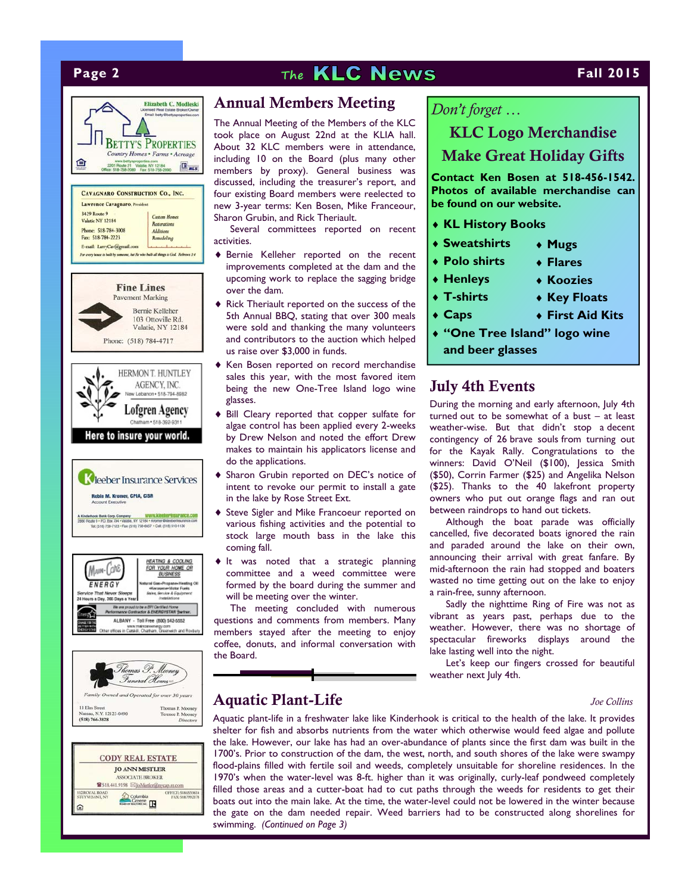





|                                  | <b>JO ANN MISTLER</b>                             |                                        |
|----------------------------------|---------------------------------------------------|----------------------------------------|
|                                  | <b>ASSOCIATE BROKER</b>                           |                                        |
|                                  | <sup>2</sup> 518.441.9198 ⊠loMistler@nycap.rr.com |                                        |
| 112 ROYAL ROAD<br>STUYVESANT, NY | Columbia                                          | OFFICE-5186539614<br>FAX: 518.799.2178 |
|                                  |                                                   |                                        |

### Annual Members Meeting

The Annual Meeting of the Members of the KLC took place on August 22nd at the KLIA hall. About 32 KLC members were in attendance, including 10 on the Board (plus many other members by proxy). General business was discussed, including the treasurer's report, and four existing Board members were reelected to new 3-year terms: Ken Bosen, Mike Franceour, Sharon Grubin, and Rick Theriault.

Several committees reported on recent activities.

- Bernie Kelleher reported on the recent improvements completed at the dam and the upcoming work to replace the sagging bridge over the dam.
- $\blacklozenge$  Rick Theriault reported on the success of the 5th Annual BBQ, stating that over 300 meals were sold and thanking the many volunteers and contributors to the auction which helped us raise over \$3,000 in funds.
- Ken Bosen reported on record merchandise sales this year, with the most favored item being the new One-Tree Island logo wine glasses.
- Bill Cleary reported that copper sulfate for algae control has been applied every 2-weeks by Drew Nelson and noted the effort Drew makes to maintain his applicators license and do the applications.
- Sharon Grubin reported on DEC's notice of intent to revoke our permit to install a gate in the lake by Rose Street Ext.
- ◆ Steve Sigler and Mike Francoeur reported on various fishing activities and the potential to stock large mouth bass in the lake this coming fall.
- $\blacklozenge$  It was noted that a strategic planning committee and a weed committee were formed by the board during the summer and will be meeting over the winter.

The meeting concluded with numerous questions and comments from members. Many members stayed after the meeting to enjoy coffee, donuts, and informal conversation with the Board.

*Don't forget …* 

## KLC Logo Merchandise Make Great Holiday Gifts

**Contact Ken Bosen at 518-456-1542. Photos of available merchandise can be found on our website.** 

- **KL History Books**
- **Sweatshirts Mugs**
- **Polo shirts**

**Henleys T-shirts Caps**

- **Flares Koozies**
- **Key Floats**
- **First Aid Kits**

**"One Tree Island" logo wine** 

**and beer glasses**

### July 4th Events

During the morning and early afternoon, July 4th turned out to be somewhat of a bust – at least weather-wise. But that didn't stop a decent contingency of 26 brave souls from turning out for the Kayak Rally. Congratulations to the winners: David O'Neil (\$100), Jessica Smith (\$50), Corrin Farmer (\$25) and Angelika Nelson (\$25). Thanks to the 40 lakefront property owners who put out orange flags and ran out between raindrops to hand out tickets.

Although the boat parade was officially cancelled, five decorated boats ignored the rain and paraded around the lake on their own, announcing their arrival with great fanfare. By mid-afternoon the rain had stopped and boaters wasted no time getting out on the lake to enjoy a rain-free, sunny afternoon.

Sadly the nighttime Ring of Fire was not as vibrant as years past, perhaps due to the weather. However, there was no shortage of spectacular fireworks displays around the lake lasting well into the night.

Let's keep our fingers crossed for beautiful weather next July 4th.

## Aquatic Plant-Life *Joe Collins*

Aquatic plant-life in a freshwater lake like Kinderhook is critical to the health of the lake. It provides shelter for fish and absorbs nutrients from the water which otherwise would feed algae and pollute the lake. However, our lake has had an over-abundance of plants since the first dam was built in the 1700's. Prior to construction of the dam, the west, north, and south shores of the lake were swampy flood-plains filled with fertile soil and weeds, completely unsuitable for shoreline residences. In the 1970's when the water-level was 8-ft. higher than it was originally, curly-leaf pondweed completely filled those areas and a cutter-boat had to cut paths through the weeds for residents to get their boats out into the main lake. At the time, the water-level could not be lowered in the winter because the gate on the dam needed repair. Weed barriers had to be constructed along shorelines for swimming. *(Continued on Page 3)*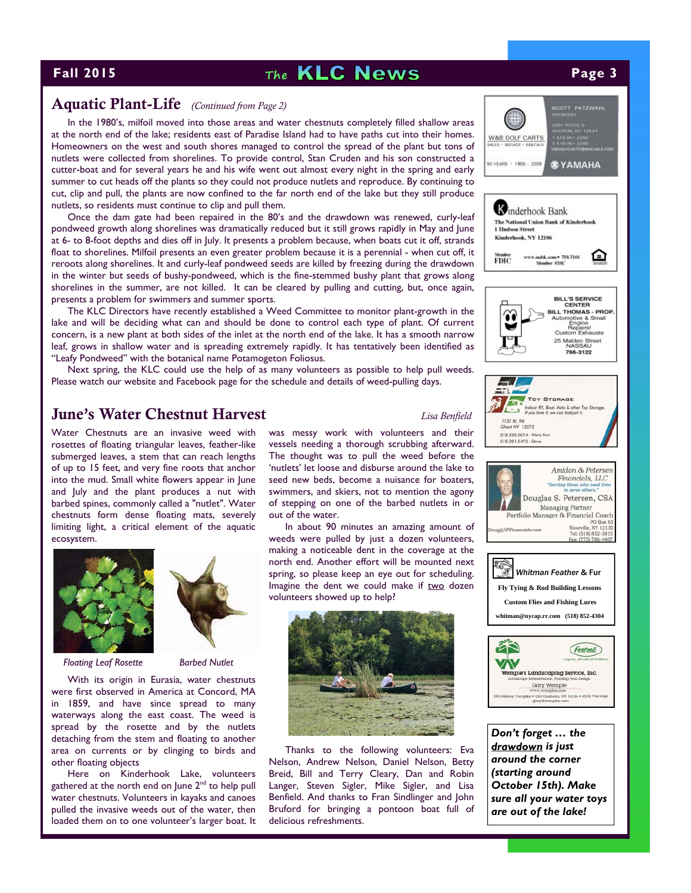# **Fall 2015 Page 3 The <b>KLC News Page 3**

## Aquatic Plant-Life *(Continued from Page 2)*

In the 1980's, milfoil moved into those areas and water chestnuts completely filled shallow areas at the north end of the lake; residents east of Paradise Island had to have paths cut into their homes. Homeowners on the west and south shores managed to control the spread of the plant but tons of nutlets were collected from shorelines. To provide control, Stan Cruden and his son constructed a cutter-boat and for several years he and his wife went out almost every night in the spring and early summer to cut heads off the plants so they could not produce nutlets and reproduce. By continuing to cut, clip and pull, the plants are now confined to the far north end of the lake but they still produce nutlets, so residents must continue to clip and pull them.

Once the dam gate had been repaired in the 80's and the drawdown was renewed, curly-leaf pondweed growth along shorelines was dramatically reduced but it still grows rapidly in May and June at 6- to 8-foot depths and dies off in July. It presents a problem because, when boats cut it off, strands float to shorelines. Milfoil presents an even greater problem because it is a perennial - when cut off, it reroots along shorelines. It and curly-leaf pondweed seeds are killed by freezing during the drawdown in the winter but seeds of bushy-pondweed, which is the fine-stemmed bushy plant that grows along shorelines in the summer, are not killed. It can be cleared by pulling and cutting, but, once again, presents a problem for swimmers and summer sports.

The KLC Directors have recently established a Weed Committee to monitor plant-growth in the lake and will be deciding what can and should be done to control each type of plant. Of current concern, is a new plant at both sides of the inlet at the north end of the lake. It has a smooth narrow leaf, grows in shallow water and is spreading extremely rapidly. It has tentatively been identified as "Leafy Pondweed" with the botanical name Potamogeton Foliosus.

Next spring, the KLC could use the help of as many volunteers as possible to help pull weeds. Please watch our website and Facebook page for the schedule and details of weed-pulling days.

## June's Water Chestnut Harvest *Lisa Benfield*

Water Chestnuts are an invasive weed with rosettes of floating triangular leaves, feather-like submerged leaves, a stem that can reach lengths of up to 15 feet, and very fine roots that anchor into the mud. Small white flowers appear in June and July and the plant produces a nut with barbed spines, commonly called a "nutlet". Water chestnuts form dense floating mats, severely limiting light, a critical element of the aquatic ecosystem.





*Floating Leaf Rosette Barbed Nutlet* 

With its origin in Eurasia, water chestnuts were first observed in America at Concord, MA in 1859, and have since spread to many waterways along the east coast. The weed is spread by the rosette and by the nutlets detaching from the stem and floating to another area on currents or by clinging to birds and other floating objects

Here on Kinderhook Lake, volunteers gathered at the north end on June  $2<sup>nd</sup>$  to help pull water chestnuts. Volunteers in kayaks and canoes pulled the invasive weeds out of the water, then loaded them on to one volunteer's larger boat. It was messy work with volunteers and their vessels needing a thorough scrubbing afterward. The thought was to pull the weed before the 'nutlets' let loose and disburse around the lake to seed new beds, become a nuisance for boaters, swimmers, and skiers, not to mention the agony of stepping on one of the barbed nutlets in or out of the water.

In about 90 minutes an amazing amount of weeds were pulled by just a dozen volunteers, making a noticeable dent in the coverage at the north end. Another effort will be mounted next spring, so please keep an eye out for scheduling. Imagine the dent we could make if two dozen volunteers showed up to help?



Thanks to the following volunteers: Eva Nelson, Andrew Nelson, Daniel Nelson, Betty Breid, Bill and Terry Cleary, Dan and Robin Langer, Steven Sigler, Mike Sigler, and Lisa Benfield. And thanks to Fran Sindlinger and John Bruford for bringing a pontoon boat full of delicious refreshments.



*Don't forget … the drawdown is just around the corner (starting around October 15th). Make sure all your water toys are out of the lake!*